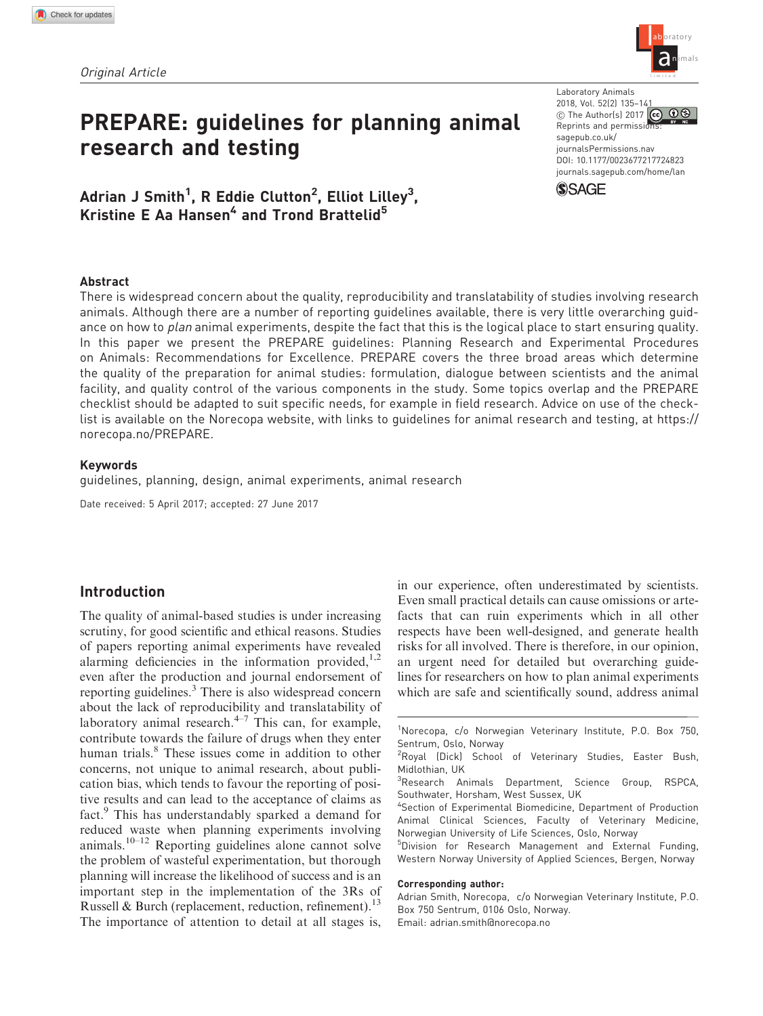# PREPARE: guidelines for planning animal research and testing

Adrian J Smith $^1$ , R Eddie Clutton $^2$ , Elliot Lilley $^3$ , Kristine E Aa Hansen<sup>4</sup> and Trond Brattelid<sup>5</sup>

## Abstract

There is widespread concern about the quality, reproducibility and translatability of studies involving research animals. Although there are a number of reporting guidelines available, there is very little overarching guidance on how to *plan* animal experiments, despite the fact that this is the logical place to start ensuring quality. In this paper we present the PREPARE guidelines: Planning Research and Experimental Procedures on Animals: Recommendations for Excellence. PREPARE covers the three broad areas which determine the quality of the preparation for animal studies: formulation, dialogue between scientists and the animal facility, and quality control of the various components in the study. Some topics overlap and the PREPARE checklist should be adapted to suit specific needs, for example in field research. Advice on use of the checklist is available on the Norecopa website, with links to guidelines for animal research and testing, at [https://](https://norecopa.no/PREPARE) [norecopa.no/PREPARE](https://norecopa.no/PREPARE).

## Keywords

guidelines, planning, design, animal experiments, animal research

Date received: 5 April 2017; accepted: 27 June 2017

## Introduction

The quality of animal-based studies is under increasing scrutiny, for good scientific and ethical reasons. Studies of papers reporting animal experiments have revealed alarming deficiencies in the information provided, $1,2$ even after the production and journal endorsement of reporting guidelines.<sup>3</sup> There is also widespread concern about the lack of reproducibility and translatability of laboratory animal research. $4-7$  This can, for example, contribute towards the failure of drugs when they enter human trials.<sup>8</sup> These issues come in addition to other concerns, not unique to animal research, about publication bias, which tends to favour the reporting of positive results and can lead to the acceptance of claims as fact.<sup>9</sup> This has understandably sparked a demand for reduced waste when planning experiments involving animals.<sup>10–12</sup> Reporting guidelines alone cannot solve the problem of wasteful experimentation, but thorough planning will increase the likelihood of success and is an important step in the implementation of the 3Rs of Russell & Burch (replacement, reduction, refinement).<sup>13</sup> The importance of attention to detail at all stages is,

in our experience, often underestimated by scientists. Even small practical details can cause omissions or artefacts that can ruin experiments which in all other respects have been well-designed, and generate health risks for all involved. There is therefore, in our opinion, an urgent need for detailed but overarching guidelines for researchers on how to plan animal experiments which are safe and scientifically sound, address animal

<sup>5</sup>Division for Research Management and External Funding, Western Norway University of Applied Sciences, Bergen, Norway

#### Corresponding author:

Adrian Smith, Norecopa, c/o Norwegian Veterinary Institute, P.O. Box 750 Sentrum, 0106 Oslo, Norway. Email: adrian.smith@norecopa.no



Laboratory Animals 2018, Vol. 52(2) 135–141  $\circ$  The Author(s) 2017  $\circ$  0 9 Reprints and permission [sagepub.co.uk/](https://uk.sagepub.com/en-gb/journals-permissions) [journalsPermissions.nav](https://uk.sagepub.com/en-gb/journals-permissions) DOI: [10.1177/0023677217724823](https://doi.org/10.1177/0023677217724823) <journals.sagepub.com/home/lan>



<sup>&</sup>lt;sup>1</sup>Norecopa, c/o Norwegian Veterinary Institute, P.O. Box 750, Sentrum, Oslo, Norway

<sup>&</sup>lt;sup>2</sup>Royal (Dick) School of Veterinary Studies, Easter Bush, Midlothian, UK

<sup>&</sup>lt;sup>3</sup>Research Animals Department, Science Group, RSPCA, Southwater, Horsham, West Sussex, UK

<sup>4</sup> Section of Experimental Biomedicine, Department of Production Animal Clinical Sciences, Faculty of Veterinary Medicine, Norwegian University of Life Sciences, Oslo, Norway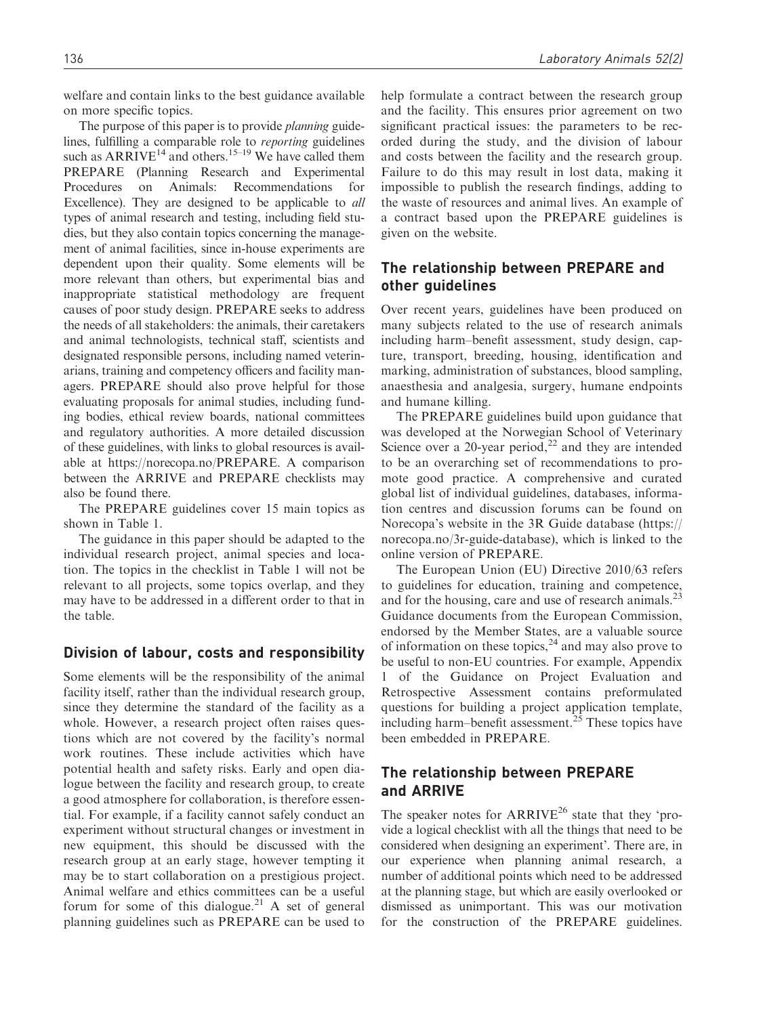welfare and contain links to the best guidance available on more specific topics.

The purpose of this paper is to provide *planning* guidelines, fulfilling a comparable role to reporting guidelines such as  $ARRIVE^{14}$  and others.<sup>15–19</sup> We have called them PREPARE (Planning Research and Experimental Procedures on Animals: Recommendations for Excellence). They are designed to be applicable to *all* types of animal research and testing, including field studies, but they also contain topics concerning the management of animal facilities, since in-house experiments are dependent upon their quality. Some elements will be more relevant than others, but experimental bias and inappropriate statistical methodology are frequent causes of poor study design. PREPARE seeks to address the needs of all stakeholders: the animals, their caretakers and animal technologists, technical staff, scientists and designated responsible persons, including named veterinarians, training and competency officers and facility managers. PREPARE should also prove helpful for those evaluating proposals for animal studies, including funding bodies, ethical review boards, national committees and regulatory authorities. A more detailed discussion of these guidelines, with links to global resources is available at<https://norecopa.no/PREPARE>. A comparison between the ARRIVE and PREPARE checklists may also be found there.

The PREPARE guidelines cover 15 main topics as shown in Table 1.

The guidance in this paper should be adapted to the individual research project, animal species and location. The topics in the checklist in Table 1 will not be relevant to all projects, some topics overlap, and they may have to be addressed in a different order to that in the table.

## Division of labour, costs and responsibility

Some elements will be the responsibility of the animal facility itself, rather than the individual research group, since they determine the standard of the facility as a whole. However, a research project often raises questions which are not covered by the facility's normal work routines. These include activities which have potential health and safety risks. Early and open dialogue between the facility and research group, to create a good atmosphere for collaboration, is therefore essential. For example, if a facility cannot safely conduct an experiment without structural changes or investment in new equipment, this should be discussed with the research group at an early stage, however tempting it may be to start collaboration on a prestigious project. Animal welfare and ethics committees can be a useful forum for some of this dialogue.<sup>21</sup> A set of general planning guidelines such as PREPARE can be used to help formulate a contract between the research group and the facility. This ensures prior agreement on two significant practical issues: the parameters to be recorded during the study, and the division of labour and costs between the facility and the research group. Failure to do this may result in lost data, making it impossible to publish the research findings, adding to the waste of resources and animal lives. An example of a contract based upon the PREPARE guidelines is given on the website.

# The relationship between PREPARE and other guidelines

Over recent years, guidelines have been produced on many subjects related to the use of research animals including harm–benefit assessment, study design, capture, transport, breeding, housing, identification and marking, administration of substances, blood sampling, anaesthesia and analgesia, surgery, humane endpoints and humane killing.

The PREPARE guidelines build upon guidance that was developed at the Norwegian School of Veterinary Science over a 20-year period,<sup>22</sup> and they are intended to be an overarching set of recommendations to promote good practice. A comprehensive and curated global list of individual guidelines, databases, information centres and discussion forums can be found on Norecopa's website in the 3R Guide database [\(https://](https://norecopa.no/3r-guide-database) [norecopa.no/3r-guide-database](https://norecopa.no/3r-guide-database)), which is linked to the online version of PREPARE.

The European Union (EU) Directive 2010/63 refers to guidelines for education, training and competence, and for the housing, care and use of research animals.<sup>23</sup> Guidance documents from the European Commission, endorsed by the Member States, are a valuable source of information on these topics,  $24$  and may also prove to be useful to non-EU countries. For example, Appendix 1 of the Guidance on Project Evaluation and Retrospective Assessment contains preformulated questions for building a project application template, including harm–benefit assessment.<sup>25</sup> These topics have been embedded in PREPARE.

# The relationship between PREPARE and ARRIVE

The speaker notes for ARRIVE<sup>26</sup> state that they 'provide a logical checklist with all the things that need to be considered when designing an experiment'. There are, in our experience when planning animal research, a number of additional points which need to be addressed at the planning stage, but which are easily overlooked or dismissed as unimportant. This was our motivation for the construction of the PREPARE guidelines.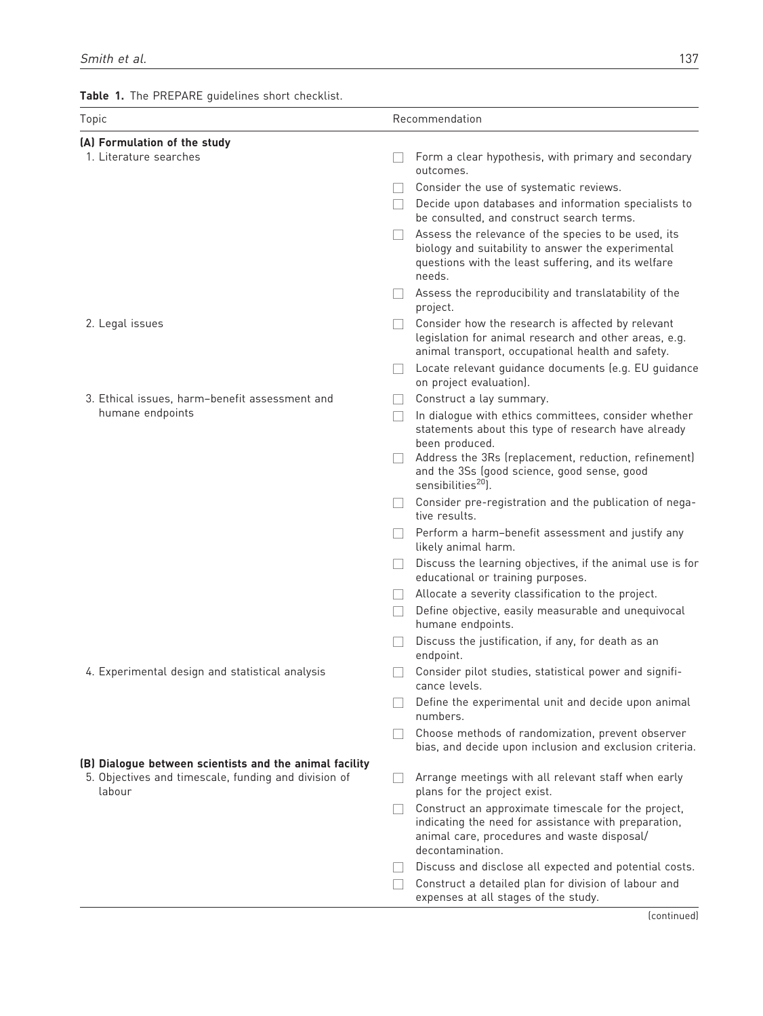|  |  |  |  | Table 1. The PREPARE guidelines short checklist. |  |  |
|--|--|--|--|--------------------------------------------------|--|--|
|--|--|--|--|--------------------------------------------------|--|--|

| Topic                                                          | Recommendation         |                                                                                                                                                                                |  |
|----------------------------------------------------------------|------------------------|--------------------------------------------------------------------------------------------------------------------------------------------------------------------------------|--|
| (A) Formulation of the study                                   |                        |                                                                                                                                                                                |  |
| 1. Literature searches                                         | $\Box$                 | Form a clear hypothesis, with primary and secondary<br>outcomes.                                                                                                               |  |
|                                                                |                        | Consider the use of systematic reviews.                                                                                                                                        |  |
|                                                                | $\Box$                 | Decide upon databases and information specialists to<br>be consulted, and construct search terms.                                                                              |  |
|                                                                |                        | Assess the relevance of the species to be used, its<br>biology and suitability to answer the experimental<br>questions with the least suffering, and its welfare<br>needs.     |  |
|                                                                |                        | Assess the reproducibility and translatability of the<br>project.                                                                                                              |  |
| 2. Legal issues                                                | ΓI                     | Consider how the research is affected by relevant<br>legislation for animal research and other areas, e.g.<br>animal transport, occupational health and safety.                |  |
|                                                                | $\vert \ \ \vert$      | Locate relevant guidance documents (e.g. EU guidance<br>on project evaluation).                                                                                                |  |
| 3. Ethical issues, harm-benefit assessment and                 | $\vert \ \ \vert$      | Construct a lay summary.                                                                                                                                                       |  |
| humane endpoints                                               | $\Box$                 | In dialogue with ethics committees, consider whether<br>statements about this type of research have already                                                                    |  |
|                                                                |                        | been produced.<br>Address the 3Rs (replacement, reduction, refinement)<br>and the 3Ss (good science, good sense, good<br>sensibilities <sup>20</sup> ).                        |  |
|                                                                |                        | Consider pre-registration and the publication of nega-<br>tive results.                                                                                                        |  |
|                                                                |                        | Perform a harm-benefit assessment and justify any<br>likely animal harm.                                                                                                       |  |
|                                                                | $\Box$                 | Discuss the learning objectives, if the animal use is for<br>educational or training purposes.                                                                                 |  |
|                                                                | $\Box$                 | Allocate a severity classification to the project.                                                                                                                             |  |
|                                                                | $\Box$                 | Define objective, easily measurable and unequivocal<br>humane endpoints.                                                                                                       |  |
|                                                                |                        | Discuss the justification, if any, for death as an<br>endpoint.                                                                                                                |  |
| 4. Experimental design and statistical analysis                |                        | Consider pilot studies, statistical power and signifi-<br>cance levels.                                                                                                        |  |
|                                                                |                        | Define the experimental unit and decide upon animal<br>numbers.                                                                                                                |  |
|                                                                |                        | Choose methods of randomization, prevent observer<br>bias, and decide upon inclusion and exclusion criteria.                                                                   |  |
| (B) Dialogue between scientists and the animal facility        |                        |                                                                                                                                                                                |  |
| 5. Objectives and timescale, funding and division of<br>labour | $\Box$                 | Arrange meetings with all relevant staff when early<br>plans for the project exist.                                                                                            |  |
|                                                                |                        | Construct an approximate timescale for the project,<br>indicating the need for assistance with preparation,<br>animal care, procedures and waste disposal/<br>decontamination. |  |
|                                                                | $\mathbf{1}$<br>$\Box$ | Discuss and disclose all expected and potential costs.<br>Construct a detailed plan for division of labour and<br>expenses at all stages of the study.                         |  |

(continued)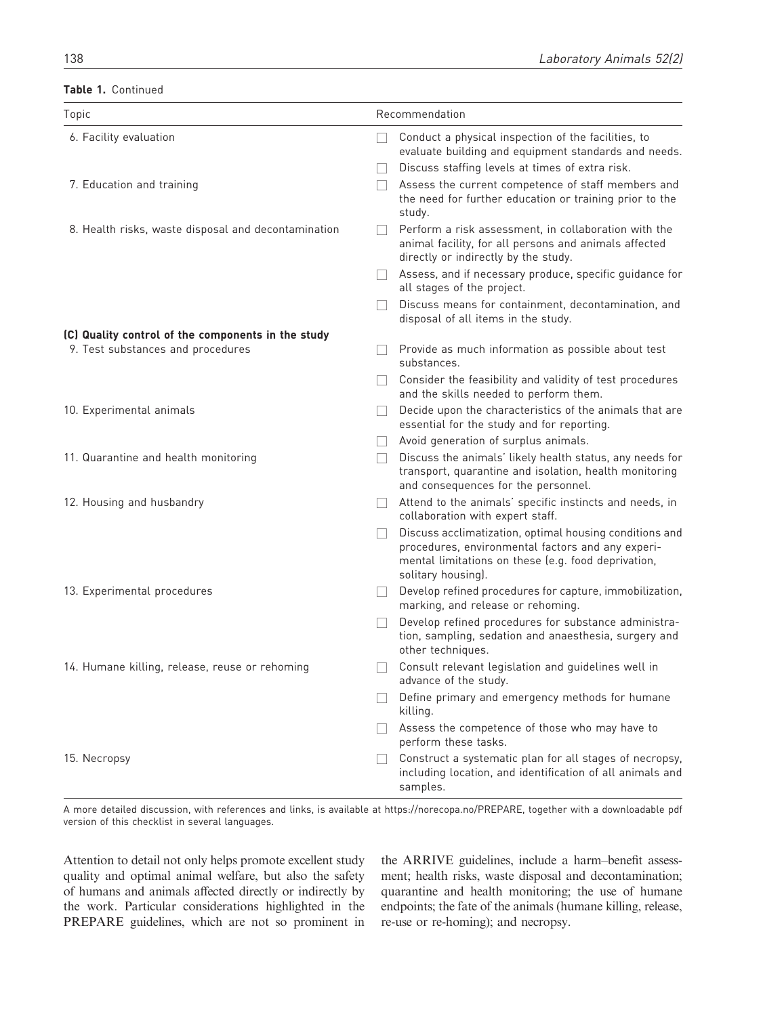#### Table 1. Continued

| Topic                                               | Recommendation                                                                                                                                                                            |
|-----------------------------------------------------|-------------------------------------------------------------------------------------------------------------------------------------------------------------------------------------------|
| 6. Facility evaluation                              | Conduct a physical inspection of the facilities, to<br>evaluate building and equipment standards and needs.<br>Discuss staffing levels at times of extra risk.                            |
| 7. Education and training                           | Assess the current competence of staff members and<br>the need for further education or training prior to the<br>study.                                                                   |
| 8. Health risks, waste disposal and decontamination | Perform a risk assessment, in collaboration with the<br>animal facility, for all persons and animals affected<br>directly or indirectly by the study.                                     |
|                                                     | Assess, and if necessary produce, specific guidance for<br>all stages of the project.                                                                                                     |
|                                                     | Discuss means for containment, decontamination, and<br>disposal of all items in the study.                                                                                                |
| (C) Quality control of the components in the study  |                                                                                                                                                                                           |
| 9. Test substances and procedures                   | Provide as much information as possible about test<br>substances.                                                                                                                         |
|                                                     | Consider the feasibility and validity of test procedures<br>and the skills needed to perform them.                                                                                        |
| 10. Experimental animals                            | Decide upon the characteristics of the animals that are<br>essential for the study and for reporting.                                                                                     |
|                                                     | Avoid generation of surplus animals.                                                                                                                                                      |
| 11. Quarantine and health monitoring                | Discuss the animals' likely health status, any needs for<br>transport, quarantine and isolation, health monitoring<br>and consequences for the personnel.                                 |
| 12. Housing and husbandry                           | Attend to the animals' specific instincts and needs, in<br>collaboration with expert staff.                                                                                               |
|                                                     | Discuss acclimatization, optimal housing conditions and<br>procedures, environmental factors and any experi-<br>mental limitations on these (e.g. food deprivation,<br>solitary housing). |
| 13. Experimental procedures                         | Develop refined procedures for capture, immobilization,<br>marking, and release or rehoming.                                                                                              |
|                                                     | Develop refined procedures for substance administra-<br>tion, sampling, sedation and anaesthesia, surgery and<br>other techniques.                                                        |
| 14. Humane killing, release, reuse or rehoming      | Consult relevant legislation and guidelines well in<br>advance of the study.                                                                                                              |
|                                                     | Define primary and emergency methods for humane<br>killing.                                                                                                                               |
|                                                     | Assess the competence of those who may have to<br>perform these tasks.                                                                                                                    |
| 15. Necropsy                                        | Construct a systematic plan for all stages of necropsy,<br>including location, and identification of all animals and<br>samples.                                                          |

A more detailed discussion, with references and links, is available at [https://norecopa.no/PREPARE,](https://norecopa.no/PREPARE) together with a downloadable pdf version of this checklist in several languages.

Attention to detail not only helps promote excellent study quality and optimal animal welfare, but also the safety of humans and animals affected directly or indirectly by the work. Particular considerations highlighted in the PREPARE guidelines, which are not so prominent in the ARRIVE guidelines, include a harm–benefit assessment; health risks, waste disposal and decontamination; quarantine and health monitoring; the use of humane endpoints; the fate of the animals (humane killing, release, re-use or re-homing); and necropsy.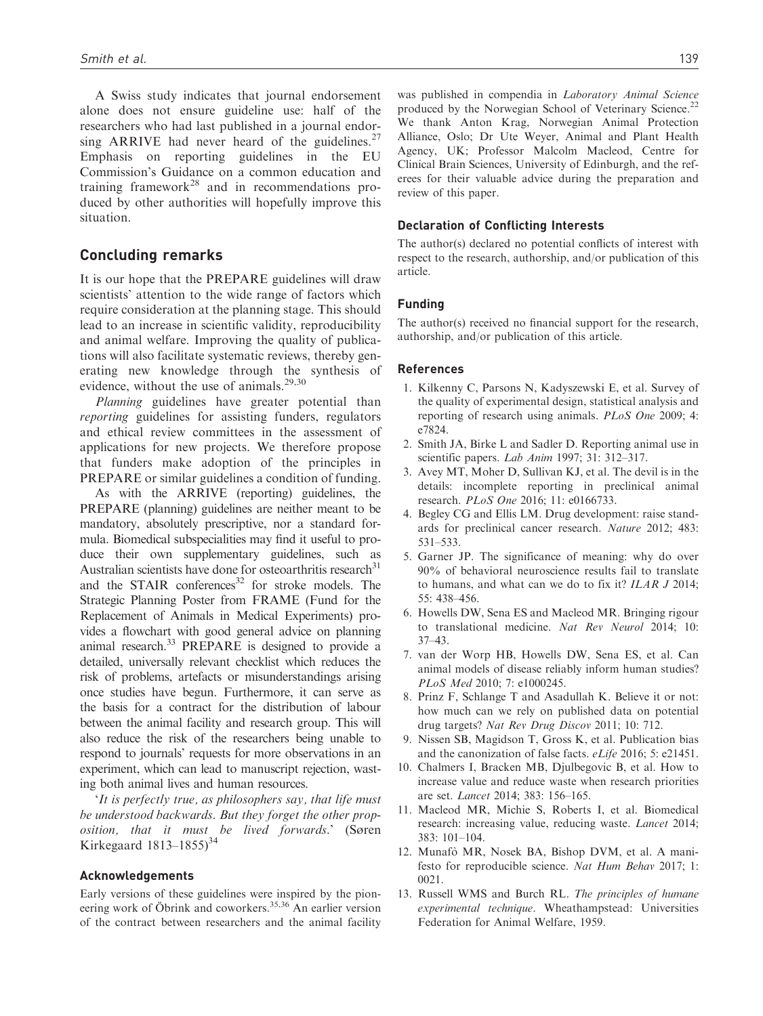A Swiss study indicates that journal endorsement alone does not ensure guideline use: half of the researchers who had last published in a journal endorsing ARRIVE had never heard of the guidelines. $27$ Emphasis on reporting guidelines in the EU Commission's Guidance on a common education and training framework<sup>28</sup> and in recommendations produced by other authorities will hopefully improve this situation.

## Concluding remarks

It is our hope that the PREPARE guidelines will draw scientists' attention to the wide range of factors which require consideration at the planning stage. This should lead to an increase in scientific validity, reproducibility and animal welfare. Improving the quality of publications will also facilitate systematic reviews, thereby generating new knowledge through the synthesis of evidence, without the use of animals.<sup>29,30</sup>

Planning guidelines have greater potential than reporting guidelines for assisting funders, regulators and ethical review committees in the assessment of applications for new projects. We therefore propose that funders make adoption of the principles in PREPARE or similar guidelines a condition of funding.

As with the ARRIVE (reporting) guidelines, the PREPARE (planning) guidelines are neither meant to be mandatory, absolutely prescriptive, nor a standard formula. Biomedical subspecialities may find it useful to produce their own supplementary guidelines, such as Australian scientists have done for osteoarthritis research<sup>31</sup> and the STAIR conferences $32$  for stroke models. The Strategic Planning Poster from FRAME (Fund for the Replacement of Animals in Medical Experiments) provides a flowchart with good general advice on planning animal research.<sup>33</sup> PREPARE is designed to provide a detailed, universally relevant checklist which reduces the risk of problems, artefacts or misunderstandings arising once studies have begun. Furthermore, it can serve as the basis for a contract for the distribution of labour between the animal facility and research group. This will also reduce the risk of the researchers being unable to respond to journals' requests for more observations in an experiment, which can lead to manuscript rejection, wasting both animal lives and human resources.

'It is perfectly true, as philosophers say, that life must be understood backwards. But they forget the other proposition, that it must be lived forwards.' (Søren Kirkegaard  $1813-1855$ <sup>34</sup>

#### Acknowledgements

Early versions of these guidelines were inspired by the pioneering work of Öbrink and coworkers.<sup>35,36</sup> An earlier version of the contract between researchers and the animal facility was published in compendia in Laboratory Animal Science produced by the Norwegian School of Veterinary Science.<sup>22</sup> We thank Anton Krag, Norwegian Animal Protection Alliance, Oslo; Dr Ute Weyer, Animal and Plant Health Agency, UK; Professor Malcolm Macleod, Centre for Clinical Brain Sciences, University of Edinburgh, and the referees for their valuable advice during the preparation and review of this paper.

#### Declaration of Conflicting Interests

The author(s) declared no potential conflicts of interest with respect to the research, authorship, and/or publication of this article.

#### Funding

The author(s) received no financial support for the research, authorship, and/or publication of this article.

#### References

- 1. Kilkenny C, Parsons N, Kadyszewski E, et al. Survey of the quality of experimental design, statistical analysis and reporting of research using animals. PLoS One 2009; 4: e7824.
- 2. Smith JA, Birke L and Sadler D. Reporting animal use in scientific papers. Lab Anim 1997; 31: 312–317.
- 3. Avey MT, Moher D, Sullivan KJ, et al. The devil is in the details: incomplete reporting in preclinical animal research. PLoS One 2016; 11: e0166733.
- 4. Begley CG and Ellis LM. Drug development: raise standards for preclinical cancer research. Nature 2012; 483: 531–533.
- 5. Garner JP. The significance of meaning: why do over 90% of behavioral neuroscience results fail to translate to humans, and what can we do to fix it? ILAR J 2014; 55: 438–456.
- 6. Howells DW, Sena ES and Macleod MR. Bringing rigour to translational medicine. Nat Rev Neurol 2014; 10: 37–43.
- 7. van der Worp HB, Howells DW, Sena ES, et al. Can animal models of disease reliably inform human studies? PLoS Med 2010; 7: e1000245.
- 8. Prinz F, Schlange T and Asadullah K. Believe it or not: how much can we rely on published data on potential drug targets? Nat Rev Drug Discov 2011; 10: 712.
- 9. Nissen SB, Magidson T, Gross K, et al. Publication bias and the canonization of false facts. eLife 2016; 5: e21451.
- 10. Chalmers I, Bracken MB, Djulbegovic B, et al. How to increase value and reduce waste when research priorities are set. Lancet 2014; 383: 156–165.
- 11. Macleod MR, Michie S, Roberts I, et al. Biomedical research: increasing value, reducing waste. Lancet 2014; 383: 101–104.
- 12. Munafò MR, Nosek BA, Bishop DVM, et al. A manifesto for reproducible science. Nat Hum Behav 2017; 1: 0021.
- 13. Russell WMS and Burch RL. The principles of humane experimental technique. Wheathampstead: Universities Federation for Animal Welfare, 1959.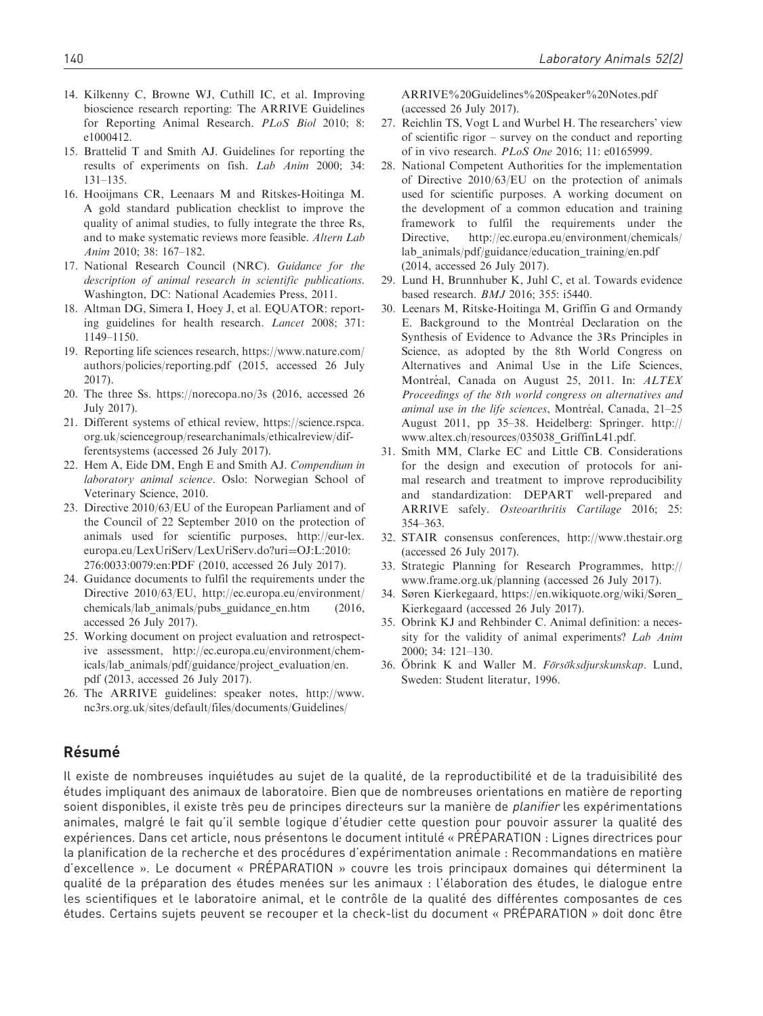- 14. Kilkenny C, Browne WJ, Cuthill IC, et al. Improving bioscience research reporting: The ARRIVE Guidelines for Reporting Animal Research. PLoS Biol 2010; 8: e1000412.
- 15. Brattelid T and Smith AJ. Guidelines for reporting the results of experiments on fish. Lab Anim 2000; 34: 131–135.
- 16. Hooijmans CR, Leenaars M and Ritskes-Hoitinga M. A gold standard publication checklist to improve the quality of animal studies, to fully integrate the three Rs, and to make systematic reviews more feasible. Altern Lab Anim 2010; 38: 167–182.
- 17. National Research Council (NRC). Guidance for the description of animal research in scientific publications. Washington, DC: National Academies Press, 2011.
- 18. Altman DG, Simera I, Hoey J, et al. EQUATOR: reporting guidelines for health research. Lancet 2008; 371: 1149–1150.
- 19. Reporting life sciences research, [https://www.nature.com/](https://www.nature.com/authors/policies/reporting.pdf) [authors/policies/reporting.pdf](https://www.nature.com/authors/policies/reporting.pdf) (2015, accessed 26 July 2017).
- 20. The three Ss.<https://norecopa.no/3s> (2016, accessed 26 July 2017).
- 21. Different systems of ethical review, [https://science.rspca.](https://science.rspca.org.uk/sciencegroup/researchanimals/ethicalreview/differentsystems) [org.uk/sciencegroup/researchanimals/ethicalreview/dif](https://science.rspca.org.uk/sciencegroup/researchanimals/ethicalreview/differentsystems)[ferentsystems](https://science.rspca.org.uk/sciencegroup/researchanimals/ethicalreview/differentsystems) (accessed 26 July 2017).
- 22. Hem A, Eide DM, Engh E and Smith AJ. Compendium in laboratory animal science. Oslo: Norwegian School of Veterinary Science, 2010.
- 23. Directive 2010/63/EU of the European Parliament and of the Council of 22 September 2010 on the protection of animals used for scientific purposes, [http://eur-lex.](http://eur-lex.europa.eu/LexUriServ/LexUriServ.do?uri=OJ:L:2010:276:0033:0079:en:PDF) [europa.eu/LexUriServ/LexUriServ.do?uri](http://eur-lex.europa.eu/LexUriServ/LexUriServ.do?uri=OJ:L:2010:276:0033:0079:en:PDF)=[OJ:L:2010:](http://eur-lex.europa.eu/LexUriServ/LexUriServ.do?uri=OJ:L:2010:276:0033:0079:en:PDF) [276:0033:0079:en:PDF](http://eur-lex.europa.eu/LexUriServ/LexUriServ.do?uri=OJ:L:2010:276:0033:0079:en:PDF) (2010, accessed 26 July 2017).
- 24. Guidance documents to fulfil the requirements under the Directive 2010/63/EU, [http://ec.europa.eu/environment/](http://ec.europa.eu/environment/chemicals/lab_animals/pubs_guidance_en.htm) [chemicals/lab\\_animals/pubs\\_guidance\\_en.htm](http://ec.europa.eu/environment/chemicals/lab_animals/pubs_guidance_en.htm) (2016, accessed 26 July 2017).
- 25. Working document on project evaluation and retrospective assessment, [http://ec.europa.eu/environment/chem](http://ec.europa.eu/environment/chemicals/lab_animals/pdf/guidance/project_evaluation/en.pdf)[icals/lab\\_animals/pdf/guidance/project\\_evaluation/en.](http://ec.europa.eu/environment/chemicals/lab_animals/pdf/guidance/project_evaluation/en.pdf) [pdf](http://ec.europa.eu/environment/chemicals/lab_animals/pdf/guidance/project_evaluation/en.pdf) (2013, accessed 26 July 2017).
- 26. The ARRIVE guidelines: speaker notes, [http://www.](http://www.nc3rs.org.uk/sites/default/files/documents/Guidelines/ARRIVE%20Guidelines%20Speaker%20Notes.pdf) [nc3rs.org.uk/sites/default/files/documents/Guidelines/](http://www.nc3rs.org.uk/sites/default/files/documents/Guidelines/ARRIVE%20Guidelines%20Speaker%20Notes.pdf)

[ARRIVE%20Guidelines%20Speaker%20Notes.pdf](http://www.nc3rs.org.uk/sites/default/files/documents/Guidelines/ARRIVE%20Guidelines%20Speaker%20Notes.pdf) (accessed 26 July 2017).

- 27. Reichlin TS, Vogt L and Wurbel H. The researchers' view of scientific rigor – survey on the conduct and reporting of in vivo research. PLoS One 2016; 11: e0165999.
- 28. National Competent Authorities for the implementation of Directive 2010/63/EU on the protection of animals used for scientific purposes. A working document on the development of a common education and training framework to fulfil the requirements under the Directive, [http://ec.europa.eu/environment/chemicals/](http://ec.europa.eu/environment/chemicals/lab_animals/pdf/guidance/education_training/en.pdf) [lab\\_animals/pdf/guidance/education\\_training/en.pdf](http://ec.europa.eu/environment/chemicals/lab_animals/pdf/guidance/education_training/en.pdf) (2014, accessed 26 July 2017).
- 29. Lund H, Brunnhuber K, Juhl C, et al. Towards evidence based research. BMJ 2016; 355: i5440.
- 30. Leenars M, Ritske-Hoitinga M, Griffin G and Ormandy E. Background to the Montréal Declaration on the Synthesis of Evidence to Advance the 3Rs Principles in Science, as adopted by the 8th World Congress on Alternatives and Animal Use in the Life Sciences, Montréal, Canada on August 25, 2011. In: ALTEX Proceedings of the 8th world congress on alternatives and animal use in the life sciences, Montréal, Canada, 21–25 August 2011, pp 35–38. Heidelberg: Springer. [http://](http://www.altex.ch/resources/035038_GriffinL41.pdf) [www.altex.ch/resources/035038\\_GriffinL41.pdf.](http://www.altex.ch/resources/035038_GriffinL41.pdf)
- 31. Smith MM, Clarke EC and Little CB. Considerations for the design and execution of protocols for animal research and treatment to improve reproducibility and standardization: DEPART well-prepared and ARRIVE safely. Osteoarthritis Cartilage 2016; 25: 354–363.
- 32. STAIR consensus conferences,<http://www.thestair.org> (accessed 26 July 2017).
- 33. Strategic Planning for Research Programmes, [http://](http://www.frame.org.uk/planning) [www.frame.org.uk/planning](http://www.frame.org.uk/planning) (accessed 26 July 2017).
- 34. Søren Kierkegaard, [https://en.wikiquote.org/wiki/Søren\\_](https://en.wikiquote.org/wiki/Sren_Kierkegaard) [Kierkegaard](https://en.wikiquote.org/wiki/Sren_Kierkegaard) (accessed 26 July 2017).
- 35. Obrink KJ and Rehbinder C. Animal definition: a necessity for the validity of animal experiments? Lab Anim 2000; 34: 121–130.
- 36. Obrink K and Waller M. Försöksdjurskunskap. Lund, Sweden: Student literatur, 1996.

# Résumé

Il existe de nombreuses inquiétudes au sujet de la qualité, de la reproductibilité et de la traduisibilité des études impliquant des animaux de laboratoire. Bien que de nombreuses orientations en matière de reporting soient disponibles, il existe très peu de principes directeurs sur la manière de *planifier* les expérimentations animales, malgré le fait qu'il semble logique d'étudier cette question pour pouvoir assurer la qualité des expériences. Dans cet article, nous présentons le document intitulé « PREPARATION : Lignes directrices pour la planification de la recherche et des procédures d'expérimentation animale : Recommandations en matière d'excellence ». Le document « PRÉPARATION » couvre les trois principaux domaines qui déterminent la qualité de la préparation des études menées sur les animaux : l'élaboration des études, le dialogue entre les scientifiques et le laboratoire animal, et le contrôle de la qualité des différentes composantes de ces études. Certains sujets peuvent se recouper et la check-list du document « PREPARATION » doit donc être